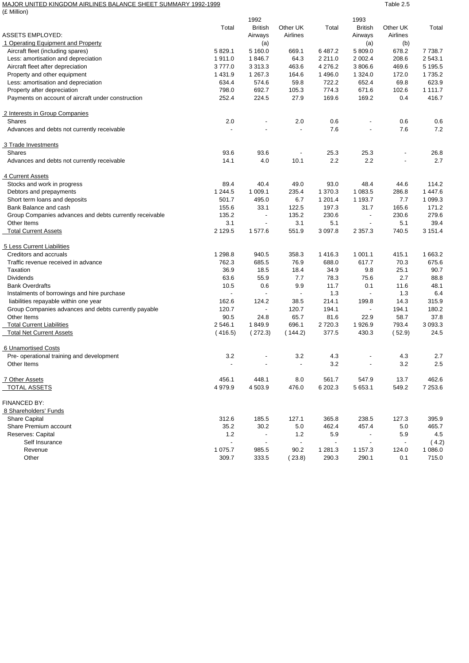## MAJOR UNITED KINGDOM AIRLINES BALANCE SHEET SUMMARY 1992-1999 TABLE 2.5 (£ Million)

|                                                         |                | 1992                     |                          |                          | 1993                     |                |             |
|---------------------------------------------------------|----------------|--------------------------|--------------------------|--------------------------|--------------------------|----------------|-------------|
|                                                         | Total          | <b>British</b>           | Other UK                 | Total                    | <b>British</b>           | Other UK       | Total       |
| <b>ASSETS EMPLOYED:</b>                                 |                | Airways                  | Airlines                 |                          | Airways                  | Airlines       |             |
| 1 Operating Equipment and Property                      |                | (a)                      |                          |                          | (a)                      | (b)            |             |
| Aircraft fleet (including spares)                       | 5 829.1        | 5 160.0                  | 669.1                    | 6 487.2                  | 5 809.0                  | 678.2          | 7 7 38.7    |
| Less: amortisation and depreciation                     | 1911.0         | 1846.7                   | 64.3                     | 2 2 1 1 .0               | 2 002.4                  | 208.6          | 2 543.1     |
| Aircraft fleet after depreciation                       | 3777.0         | 3 3 1 3 . 3              | 463.6                    | 4 2 7 6 .2               | 3 806.6                  | 469.6          | 5 195.5     |
| Property and other equipment                            | 1 4 3 1 .9     | 1 267.3                  | 164.6                    | 1496.0                   | 1 3 2 4 .0               | 172.0          | 1 7 3 5.2   |
| Less: amortisation and depreciation                     | 634.4          | 574.6                    | 59.8                     | 722.2                    | 652.4                    | 69.8           | 623.9       |
| Property after depreciation                             | 798.0          | 692.7                    | 105.3                    | 774.3                    | 671.6                    | 102.6          | 1 1 1 1 . 7 |
| Payments on account of aircraft under construction      | 252.4          | 224.5                    | 27.9                     | 169.6                    | 169.2                    | 0.4            | 416.7       |
| 2 Interests in Group Companies                          |                |                          |                          |                          |                          |                |             |
| <b>Shares</b>                                           | 2.0            | $\overline{\phantom{a}}$ | 2.0                      | 0.6                      |                          | 0.6            | 0.6         |
| Advances and debts not currently receivable             |                | $\overline{\phantom{a}}$ | $\blacksquare$           | 7.6                      |                          | 7.6            | 7.2         |
| 3 Trade Investments                                     |                |                          |                          |                          |                          |                |             |
| <b>Shares</b>                                           | 93.6           | 93.6                     | $\overline{\phantom{a}}$ | 25.3                     | 25.3                     |                | 26.8        |
| Advances and debts not currently receivable             | 14.1           | 4.0                      | 10.1                     | 2.2                      | 2.2                      |                | 2.7         |
| 4 Current Assets                                        |                |                          |                          |                          |                          |                |             |
| Stocks and work in progress                             | 89.4           | 40.4                     | 49.0                     | 93.0                     | 48.4                     | 44.6           | 114.2       |
| Debtors and prepayments                                 | 1 244.5        | 1 009.1                  | 235.4                    | 1 370.3                  | 1 083.5                  | 286.8          | 1 447.6     |
| Short term loans and deposits                           | 501.7          | 495.0                    | 6.7                      | 1 201.4                  | 1 193.7                  | 7.7            | 1 0 9 9.3   |
| Bank Balance and cash                                   | 155.6          | 33.1                     | 122.5                    | 197.3                    | 31.7                     | 165.6          | 171.2       |
| Group Companies advances and debts currently receivable | 135.2          | $\overline{\phantom{a}}$ | 135.2                    | 230.6                    | $\blacksquare$           | 230.6          | 279.6       |
| Other Items                                             | 3.1            | $\overline{\phantom{a}}$ | 3.1                      | 5.1                      | $\overline{\phantom{a}}$ | 5.1            | 39.4        |
| <b>Total Current Assets</b>                             | 2 1 2 9.5      | 1 577.6                  | 551.9                    | 3 0 9 7.8                | 2 3 5 7 . 3              | 740.5          | 3 151.4     |
| 5 Less Current Liabilities                              |                |                          |                          |                          |                          |                |             |
| Creditors and accruals                                  | 1 298.8        | 940.5                    | 358.3                    | 1416.3                   | 1 001.1                  | 415.1          | 1 663.2     |
| Traffic revenue received in advance                     | 762.3          | 685.5                    | 76.9                     | 688.0                    | 617.7                    | 70.3           | 675.6       |
| Taxation                                                | 36.9           | 18.5                     | 18.4                     | 34.9                     | 9.8                      | 25.1           | 90.7        |
| <b>Dividends</b>                                        | 63.6           | 55.9                     | 7.7                      | 78.3                     | 75.6                     | 2.7            | 88.8        |
| <b>Bank Overdrafts</b>                                  | 10.5           | 0.6                      | 9.9                      | 11.7                     | 0.1                      | 11.6           | 48.1        |
| Instalments of borrowings and hire purchase             | $\blacksquare$ | $\overline{a}$           | $\blacksquare$           | 1.3                      | $\blacksquare$           | 1.3            | 6.4         |
| liabilities repayable within one year                   | 162.6          | 124.2                    | 38.5                     | 214.1                    | 199.8                    | 14.3           | 315.9       |
| Group Companies advances and debts currently payable    | 120.7          | $\blacksquare$           | 120.7                    | 194.1                    | $\blacksquare$           | 194.1          | 180.2       |
| Other Items                                             | 90.5           | 24.8                     | 65.7                     | 81.6                     | 22.9                     | 58.7           | 37.8        |
| <b>Total Current Liabilities</b>                        | 2 546.1        | 1849.9                   | 696.1                    | 2 7 2 0.3                | 1926.9                   | 793.4          | 3 0 9 3.3   |
| <b>Total Net Current Assets</b>                         | (416.5)        | (272.3)                  | (144.2)                  | 377.5                    | 430.3                    | (52.9)         | 24.5        |
| 6 Unamortised Costs                                     |                |                          |                          |                          |                          |                |             |
| Pre- operational training and development               | 3.2            |                          | 3.2                      | 4.3                      |                          | 4.3            | 2.7         |
| Other Items                                             | $\overline{a}$ | $\sim$                   | $\blacksquare$           | 3.2                      | $\overline{\phantom{a}}$ | 3.2            | 2.5         |
| 7 Other Assets                                          | 456.1          | 448.1                    | 8.0                      | 561.7                    | 547.9                    | 13.7           | 462.6       |
| <b>TOTAL ASSETS</b>                                     | 4 9 7 9.9      | 4 503.9                  | 476.0                    | 6 202.3                  | 5 653.1                  | 549.2          | 7 253.6     |
| FINANCED BY:                                            |                |                          |                          |                          |                          |                |             |
| 8 Shareholders' Funds                                   |                |                          |                          |                          |                          |                |             |
| <b>Share Capital</b>                                    | 312.6          | 185.5                    | 127.1                    | 365.8                    | 238.5                    | 127.3          | 395.9       |
| Share Premium account                                   | 35.2           | 30.2                     | 5.0                      | 462.4                    | 457.4                    | 5.0            | 465.7       |
| Reserves: Capital                                       | 1.2            | $\overline{\phantom{a}}$ | 1.2                      | 5.9                      | $\overline{\phantom{a}}$ | 5.9            | 4.5         |
| Self Insurance                                          | $\blacksquare$ | $\overline{\phantom{a}}$ | $\overline{\phantom{a}}$ | $\overline{\phantom{a}}$ | $\overline{\phantom{a}}$ | $\blacksquare$ | (4.2)       |
| Revenue                                                 | 1 075.7        | 985.5                    | 90.2                     | 1 281.3                  | 1 1 5 7 . 3              | 124.0          | 1 0 8 6 . 0 |
| Other                                                   | 309.7          | 333.5                    | (23.8)                   | 290.3                    | 290.1                    | 0.1            | 715.0       |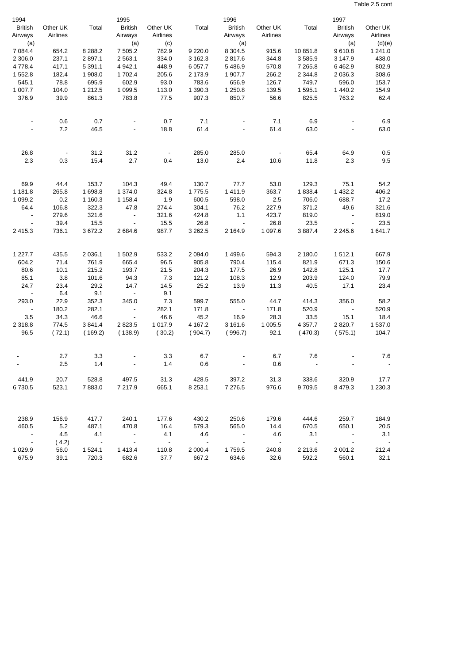Table 2.5 cont

| 1994                    |                |                      | 1995                                                 |                   |                       | 1996                     |                   |                | 1997              |                                   |
|-------------------------|----------------|----------------------|------------------------------------------------------|-------------------|-----------------------|--------------------------|-------------------|----------------|-------------------|-----------------------------------|
| <b>British</b>          | Other UK       | Total                | <b>British</b>                                       | Other UK          | Total                 | <b>British</b>           | Other UK          | Total          | <b>British</b>    | Other UK                          |
| Airways                 | Airlines       |                      | Airways                                              | Airlines          |                       | Airways                  | Airlines          |                | Airways           | Airlines                          |
| (a)                     |                |                      | (a)                                                  | (c)               |                       | (a)                      |                   |                | (a)               | (d)(e)                            |
| 7 0 8 4.4               | 654.2          | 8 2 8 8.2            | 7 505.2                                              | 782.9             | 9 2 2 0.0             | 8 3 0 4.5                | 915.6             | 10 851.8       | 9610.8            | 1 241.0                           |
| 2 3 0 6.0               | 237.1          | 2897.1               | 2563.1                                               | 334.0             | 3 162.3               | 2817.6                   | 344.8             | 3585.9         | 3 147.9           | 438.0                             |
| 4778.4                  | 417.1          | 5 3 9 1 . 1          | 4 9 4 2.1                                            | 448.9             | 6 0 57.7              | 5486.9                   | 570.8             | 7 2 6 5.8      | 6462.9            | 802.9                             |
| 1552.8                  | 182.4          | 1 908.0              | 1702.4                                               | 205.6             | 2 173.9               | 1 907.7                  | 266.2             | 2 3 4 4.8      | 2 0 36.3          | 308.6                             |
| 545.1                   | 78.8           | 695.9                | 602.9                                                | 93.0              | 783.6                 | 656.9                    | 126.7             | 749.7          | 596.0             | 153.7                             |
| 1 007.7                 | 104.0          | 1 2 1 2.5            | 1 099.5                                              | 113.0             | 1 390.3               | 1 250.8                  | 139.5             | 1 595.1        | 1 440.2           | 154.9                             |
| 376.9                   | 39.9           | 861.3                | 783.8                                                | 77.5              | 907.3                 | 850.7                    | 56.6              | 825.5          | 763.2             | 62.4                              |
|                         | 0.6            |                      |                                                      |                   | 7.1                   |                          | 7.1               | 6.9            |                   | 6.9                               |
|                         | 7.2            | 0.7<br>46.5          |                                                      | 0.7<br>18.8       | 61.4                  |                          | 61.4              | 63.0           |                   | 63.0                              |
|                         |                |                      |                                                      |                   |                       |                          |                   |                |                   |                                   |
| 26.8                    |                | 31.2                 | 31.2                                                 | $\sim$            | 285.0                 | 285.0                    |                   | 65.4           | 64.9              | 0.5                               |
| 2.3                     | 0.3            | 15.4                 | 2.7                                                  | 0.4               | 13.0                  | 2.4                      | 10.6              | 11.8           | 2.3               | 9.5                               |
|                         |                |                      |                                                      |                   |                       |                          |                   |                |                   |                                   |
| 69.9                    | 44.4           | 153.7                | 104.3                                                | 49.4              | 130.7                 | 77.7                     | 53.0              | 129.3          | 75.1<br>1 4 3 2.2 | 54.2                              |
| 1 181.8                 | 265.8          | 1698.8               | 1 374.0                                              | 324.8             | 1775.5                | 1411.9                   | 363.7             | 1838.4         |                   | 406.2                             |
| 1 0 9 9.2<br>64.4       | 0.2            | 1 1 6 0.3            | 1 1 5 8.4                                            | 1.9               | 600.5                 | 598.0<br>76.2            | 2.5               | 706.0          | 688.7<br>49.6     | 17.2                              |
|                         | 106.8<br>279.6 | 322.3<br>321.6       | 47.8                                                 | 274.4<br>321.6    | 304.1<br>424.8        | 1.1                      | 227.9<br>423.7    | 371.2<br>819.0 | $\blacksquare$    | 321.6                             |
| $\sim$<br>$\sim$        | 39.4           | 15.5                 | $\overline{\phantom{a}}$<br>$\overline{\phantom{a}}$ | 15.5              | 26.8                  | $\sim$                   | 26.8              | 23.5           | $\blacksquare$    | 819.0<br>23.5                     |
| 2 4 1 5 . 3             | 736.1          | 3672.2               | 2684.6                                               | 987.7             | 3 2 6 2.5             | 2 1 64.9                 | 1 0 9 7 .6        | 3 887.4        | 2 2 4 5 . 6       | 1641.7                            |
|                         |                |                      |                                                      |                   |                       |                          |                   |                |                   |                                   |
| 1 2 2 7 . 7             | 435.5          | 2 0 3 6.1            | 1 502.9                                              | 533.2             | 2 0 9 4 .0            | 1499.6                   | 594.3             | 2 180.0        | 1512.1            | 667.9                             |
| 604.2                   | 71.4           | 761.9                | 665.4                                                | 96.5              | 905.8                 | 790.4                    | 115.4             | 821.9          | 671.3             | 150.6                             |
| 80.6                    | 10.1           | 215.2                | 193.7                                                | 21.5              | 204.3                 | 177.5                    | 26.9              | 142.8          | 125.1             | 17.7                              |
| 85.1                    | 3.8            | 101.6                | 94.3                                                 | 7.3               | 121.2                 | 108.3                    | 12.9              | 203.9          | 124.0             | 79.9                              |
| 24.7                    | 23.4           | 29.2                 | 14.7                                                 | 14.5              | 25.2                  | 13.9                     | 11.3              | 40.5           | 17.1              | 23.4                              |
|                         | 6.4            | 9.1                  | $\sim$ $-$                                           | 9.1               |                       |                          |                   |                |                   |                                   |
| 293.0                   | 22.9           | 352.3                | 345.0                                                | 7.3               | 599.7                 | 555.0                    | 44.7              | 414.3          | 356.0             | 58.2                              |
| $\sim$                  | 180.2          | 282.1                | $\overline{\phantom{a}}$                             | 282.1             | 171.8                 | $\overline{\phantom{a}}$ | 171.8             | 520.9          | $\sim$            | 520.9                             |
| $3.5\,$                 | 34.3           | 46.6                 | $\overline{\phantom{a}}$                             | 46.6              | 45.2                  | 16.9                     | 28.3              | 33.5           | 15.1              | 18.4                              |
| 2 3 1 8.8               | 774.5          | 3841.4               | 2823.5                                               | 1 0 1 7 . 9       | 4 167.2               | 3 161.6                  | 1 005.5           | 4 3 5 7.7      | 2 8 2 0.7         | 1 537.0                           |
| 96.5                    | (72.1)         | (169.2)              | (138.9)                                              | (30.2)            | (904.7)               | (996.7)                  | 92.1              | (470.3)        | (575.1)           | 104.7                             |
|                         | 2.7            | 3.3                  |                                                      | 3.3               | 6.7                   |                          | 6.7               | 7.6            |                   | 7.6                               |
|                         | 2.5            | 1.4                  |                                                      | 1.4               | 0.6                   |                          | 0.6               |                |                   |                                   |
| 441.9                   | 20.7           | 528.8                | 497.5                                                | 31.3              | 428.5                 | 397.2                    | 31.3              | 338.6          | 320.9             | 17.7                              |
| 6730.5                  | 523.1          | 7883.0               | 7 217.9                                              | 665.1             | 8 2 5 3 . 1           | 7 276.5                  | 976.6             | 9709.5         | 8 4 7 9 . 3       | 1 2 3 0.3                         |
|                         |                |                      |                                                      |                   |                       |                          |                   |                |                   |                                   |
| 238.9                   | 156.9          | 417.7                | 240.1                                                | 177.6             | 430.2                 | 250.6                    | 179.6             | 444.6          | 259.7             | 184.9                             |
| 460.5                   | 5.2            | 487.1                | 470.8                                                | 16.4              | 579.3                 | 565.0                    | 14.4              | 670.5          | 650.1             | 20.5                              |
| $\sim$ $\sim$           | 4.5            | 4.1                  | $\sim 100$                                           | 4.1<br>$\sim$ $-$ | 4.6                   | $\sim$                   | 4.6<br>$\sim$ $-$ | 3.1            | $\sim$ $-$        | 3.1                               |
| $\sim$ $-$<br>1 0 2 9.9 | (4.2)<br>56.0  | $\sim 100$<br>1524.1 | $\sim$ $-$<br>1413.4                                 | 110.8             | $\sim 100$<br>2 000.4 | $\sim$<br>1759.5         | 240.8             | 2 2 1 3 . 6    | 2 001.2           | $\overline{\phantom{a}}$<br>212.4 |
| 675.9                   | 39.1           | 720.3                | 682.6                                                | 37.7              | 667.2                 | 634.6                    | 32.6              | 592.2          | 560.1             | 32.1                              |